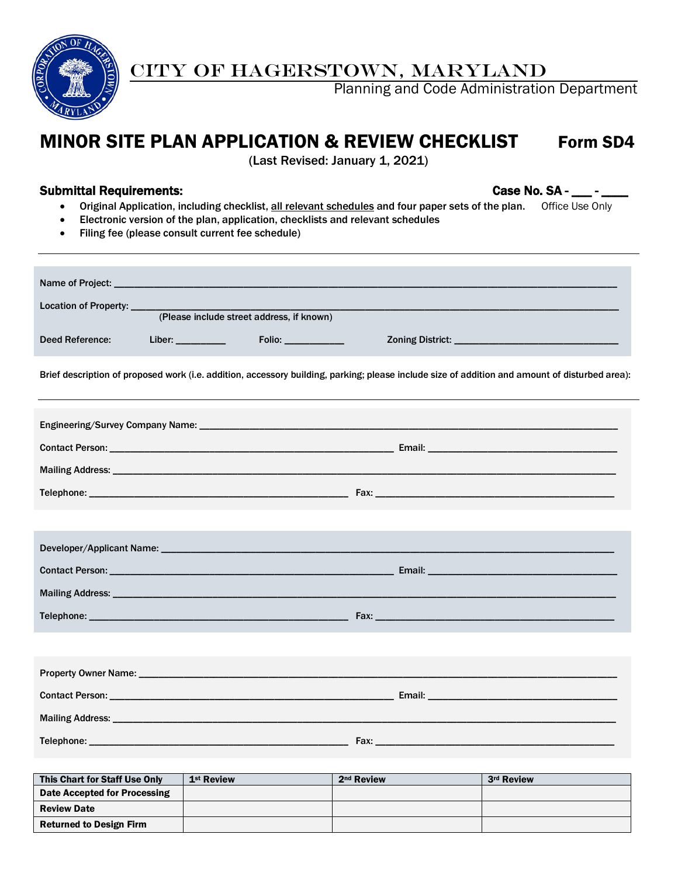

# CITY OF HAGERSTOWN, MARYLAND

Planning and Code Administration Department

# MINOR SITE PLAN APPLICATION & REVIEW CHECKLIST Form SD4

(Last Revised: January 1, 2021)

# Submittal Requirements: Case No. SA - \_\_\_ - \_\_\_\_

- Original Application, including checklist, all relevant schedules and four paper sets of the plan. Office Use Only
- Electronic version of the plan, application, checklists and relevant schedules
- Filing fee (please consult current fee schedule)

| Location of Property: _____ |                     |                                           |                                                                                                                                                |  |  |  |  |
|-----------------------------|---------------------|-------------------------------------------|------------------------------------------------------------------------------------------------------------------------------------------------|--|--|--|--|
|                             |                     | (Please include street address, if known) |                                                                                                                                                |  |  |  |  |
| <b>Deed Reference:</b>      | Liber: ____________ | $Folio:$ _____________                    |                                                                                                                                                |  |  |  |  |
|                             |                     |                                           | Brief description of proposed work (i.e. addition, accessory building, parking; please include size of addition and amount of disturbed area): |  |  |  |  |
|                             |                     |                                           |                                                                                                                                                |  |  |  |  |
|                             |                     |                                           |                                                                                                                                                |  |  |  |  |
|                             |                     |                                           |                                                                                                                                                |  |  |  |  |
|                             |                     |                                           |                                                                                                                                                |  |  |  |  |
|                             |                     |                                           |                                                                                                                                                |  |  |  |  |
|                             |                     |                                           |                                                                                                                                                |  |  |  |  |
|                             |                     |                                           |                                                                                                                                                |  |  |  |  |
|                             |                     |                                           |                                                                                                                                                |  |  |  |  |
|                             |                     |                                           |                                                                                                                                                |  |  |  |  |
|                             |                     |                                           |                                                                                                                                                |  |  |  |  |
|                             |                     |                                           |                                                                                                                                                |  |  |  |  |
|                             |                     |                                           |                                                                                                                                                |  |  |  |  |
|                             |                     |                                           |                                                                                                                                                |  |  |  |  |
|                             |                     |                                           |                                                                                                                                                |  |  |  |  |
|                             |                     |                                           |                                                                                                                                                |  |  |  |  |

| This Chart for Staff Use Only  | 1 <sup>st</sup> Review | 2 <sup>nd</sup> Review | 3rd Review |
|--------------------------------|------------------------|------------------------|------------|
| Date Accepted for Processing   |                        |                        |            |
| <b>Review Date</b>             |                        |                        |            |
| <b>Returned to Design Firm</b> |                        |                        |            |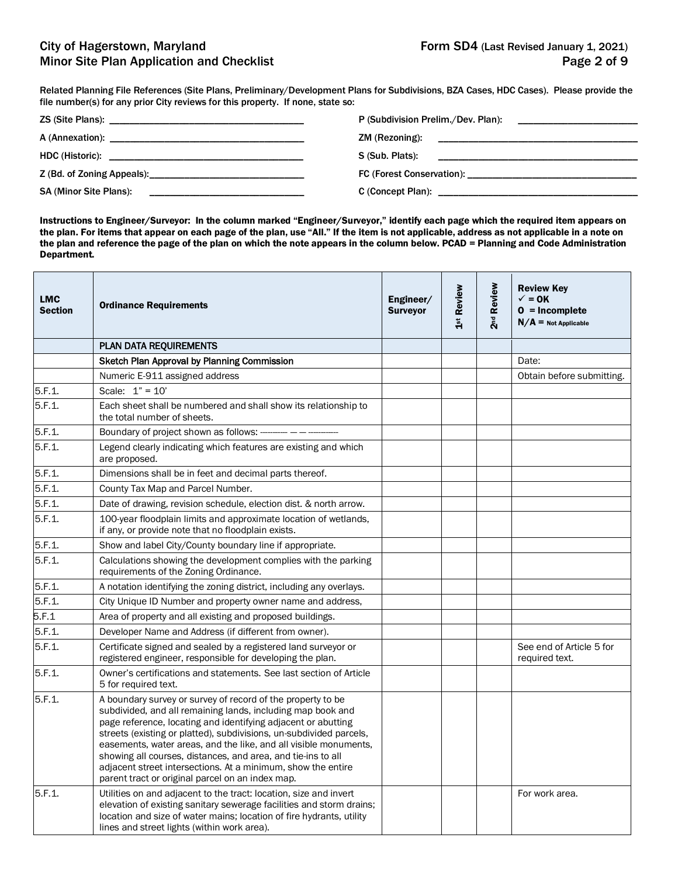Related Planning File References (Site Plans, Preliminary/Development Plans for Subdivisions, BZA Cases, HDC Cases). Please provide the file number(s) for any prior City reviews for this property. If none, state so:

|                               | ZM (Rezoning): |
|-------------------------------|----------------|
|                               |                |
|                               |                |
| <b>SA (Minor Site Plans):</b> |                |

Instructions to Engineer/Surveyor: In the column marked "Engineer/Surveyor," identify each page which the required item appears on the plan. For items that appear on each page of the plan, use "All." If the item is not applicable, address as not applicable in a note on the plan and reference the page of the plan on which the note appears in the column below. PCAD = Planning and Code Administration Department.

| <b>LMC</b><br><b>Section</b> | <b>Ordinance Requirements</b>                                                                                                                                                                                                                                                                                                                                                                                                                                                                                              | Engineer/<br><b>Surveyor</b> | 1st Review | 2 <sup>nd</sup> Review | <b>Review Key</b><br>$\checkmark$ = 0K<br>$0 = Incomplete$<br>$N/A =$ Not Applicable |
|------------------------------|----------------------------------------------------------------------------------------------------------------------------------------------------------------------------------------------------------------------------------------------------------------------------------------------------------------------------------------------------------------------------------------------------------------------------------------------------------------------------------------------------------------------------|------------------------------|------------|------------------------|--------------------------------------------------------------------------------------|
|                              | <b>PLAN DATA REQUIREMENTS</b>                                                                                                                                                                                                                                                                                                                                                                                                                                                                                              |                              |            |                        |                                                                                      |
|                              | Sketch Plan Approval by Planning Commission                                                                                                                                                                                                                                                                                                                                                                                                                                                                                |                              |            |                        | Date:                                                                                |
|                              | Numeric E-911 assigned address                                                                                                                                                                                                                                                                                                                                                                                                                                                                                             |                              |            |                        | Obtain before submitting.                                                            |
| 5.F.1.                       | Scale: $1" = 10'$                                                                                                                                                                                                                                                                                                                                                                                                                                                                                                          |                              |            |                        |                                                                                      |
| 5.F.1.                       | Each sheet shall be numbered and shall show its relationship to<br>the total number of sheets.                                                                                                                                                                                                                                                                                                                                                                                                                             |                              |            |                        |                                                                                      |
| 5.F.1                        | Boundary of project shown as follows: --------- -                                                                                                                                                                                                                                                                                                                                                                                                                                                                          |                              |            |                        |                                                                                      |
| 5.F.1                        | Legend clearly indicating which features are existing and which<br>are proposed.                                                                                                                                                                                                                                                                                                                                                                                                                                           |                              |            |                        |                                                                                      |
| 5.F.1.                       | Dimensions shall be in feet and decimal parts thereof.                                                                                                                                                                                                                                                                                                                                                                                                                                                                     |                              |            |                        |                                                                                      |
| 5.F.1.                       | County Tax Map and Parcel Number.                                                                                                                                                                                                                                                                                                                                                                                                                                                                                          |                              |            |                        |                                                                                      |
| 5.F.1.                       | Date of drawing, revision schedule, election dist. & north arrow.                                                                                                                                                                                                                                                                                                                                                                                                                                                          |                              |            |                        |                                                                                      |
| 5.F.1                        | 100-year floodplain limits and approximate location of wetlands,<br>if any, or provide note that no floodplain exists.                                                                                                                                                                                                                                                                                                                                                                                                     |                              |            |                        |                                                                                      |
| 5.F.1.                       | Show and label City/County boundary line if appropriate.                                                                                                                                                                                                                                                                                                                                                                                                                                                                   |                              |            |                        |                                                                                      |
| 5.F.1.                       | Calculations showing the development complies with the parking<br>requirements of the Zoning Ordinance.                                                                                                                                                                                                                                                                                                                                                                                                                    |                              |            |                        |                                                                                      |
| 5.F.1.                       | A notation identifying the zoning district, including any overlays.                                                                                                                                                                                                                                                                                                                                                                                                                                                        |                              |            |                        |                                                                                      |
| 5.F.1                        | City Unique ID Number and property owner name and address,                                                                                                                                                                                                                                                                                                                                                                                                                                                                 |                              |            |                        |                                                                                      |
| 5.F.1                        | Area of property and all existing and proposed buildings.                                                                                                                                                                                                                                                                                                                                                                                                                                                                  |                              |            |                        |                                                                                      |
| 5.F.1                        | Developer Name and Address (if different from owner).                                                                                                                                                                                                                                                                                                                                                                                                                                                                      |                              |            |                        |                                                                                      |
| 5.F.1.                       | Certificate signed and sealed by a registered land surveyor or<br>registered engineer, responsible for developing the plan.                                                                                                                                                                                                                                                                                                                                                                                                |                              |            |                        | See end of Article 5 for<br>required text.                                           |
| 5.F.1                        | Owner's certifications and statements. See last section of Article<br>5 for required text.                                                                                                                                                                                                                                                                                                                                                                                                                                 |                              |            |                        |                                                                                      |
| 5.F.1                        | A boundary survey or survey of record of the property to be<br>subdivided, and all remaining lands, including map book and<br>page reference, locating and identifying adjacent or abutting<br>streets (existing or platted), subdivisions, un-subdivided parcels,<br>easements, water areas, and the like, and all visible monuments,<br>showing all courses, distances, and area, and tie-ins to all<br>adjacent street intersections. At a minimum, show the entire<br>parent tract or original parcel on an index map. |                              |            |                        |                                                                                      |
| 5.F.1.                       | Utilities on and adjacent to the tract: location, size and invert<br>elevation of existing sanitary sewerage facilities and storm drains;<br>location and size of water mains; location of fire hydrants, utility<br>lines and street lights (within work area).                                                                                                                                                                                                                                                           |                              |            |                        | For work area.                                                                       |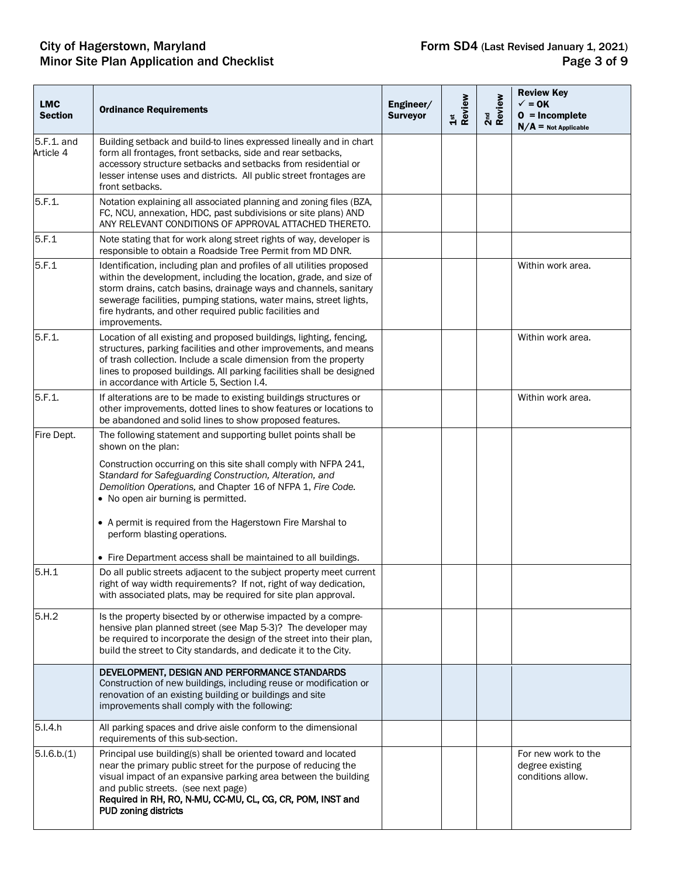#### City of Hagerstown, Maryland **Form SD4** (Last Revised January 1, 2021) Minor Site Plan Application and Checklist **Page 3 of 9** and  $P$  and  $P$  and  $P$  and  $P$  and  $P$  and  $P$  and  $P$  and  $P$  and  $P$  and  $P$  and  $P$  and  $P$  and  $P$  and  $P$  and  $P$  and  $P$  and  $P$  and  $P$  and  $P$  and  $P$  and  $P$

| <b>LMC</b><br><b>Section</b> | <b>Ordinance Requirements</b>                                                                                                                                                                                                                                                                                                                                                                                                                                                           | Engineer/<br><b>Surveyor</b> | 1st<br>Review | 2 <sup>nd</sup><br>Review | <b>Review Key</b><br>$\checkmark$ = 0K<br>$0 = Incomplete$<br>$N/A$ = Not Applicable |
|------------------------------|-----------------------------------------------------------------------------------------------------------------------------------------------------------------------------------------------------------------------------------------------------------------------------------------------------------------------------------------------------------------------------------------------------------------------------------------------------------------------------------------|------------------------------|---------------|---------------------------|--------------------------------------------------------------------------------------|
| 5.F.1. and<br>Article 4      | Building setback and build-to lines expressed lineally and in chart<br>form all frontages, front setbacks, side and rear setbacks,<br>accessory structure setbacks and setbacks from residential or<br>lesser intense uses and districts. All public street frontages are<br>front setbacks.                                                                                                                                                                                            |                              |               |                           |                                                                                      |
| 5.F.1.                       | Notation explaining all associated planning and zoning files (BZA,<br>FC, NCU, annexation, HDC, past subdivisions or site plans) AND<br>ANY RELEVANT CONDITIONS OF APPROVAL ATTACHED THERETO.                                                                                                                                                                                                                                                                                           |                              |               |                           |                                                                                      |
| 5.F.1                        | Note stating that for work along street rights of way, developer is<br>responsible to obtain a Roadside Tree Permit from MD DNR.                                                                                                                                                                                                                                                                                                                                                        |                              |               |                           |                                                                                      |
| 5.F.1                        | Identification, including plan and profiles of all utilities proposed<br>within the development, including the location, grade, and size of<br>storm drains, catch basins, drainage ways and channels, sanitary<br>sewerage facilities, pumping stations, water mains, street lights,<br>fire hydrants, and other required public facilities and<br>improvements.                                                                                                                       |                              |               |                           | Within work area.                                                                    |
| 5.F.1.                       | Location of all existing and proposed buildings, lighting, fencing,<br>structures, parking facilities and other improvements, and means<br>of trash collection. Include a scale dimension from the property<br>lines to proposed buildings. All parking facilities shall be designed<br>in accordance with Article 5, Section I.4.                                                                                                                                                      |                              |               |                           | Within work area.                                                                    |
| 5.F.1.                       | If alterations are to be made to existing buildings structures or<br>other improvements, dotted lines to show features or locations to<br>be abandoned and solid lines to show proposed features.                                                                                                                                                                                                                                                                                       |                              |               |                           | Within work area.                                                                    |
| Fire Dept.                   | The following statement and supporting bullet points shall be<br>shown on the plan:<br>Construction occurring on this site shall comply with NFPA 241,<br>Standard for Safeguarding Construction, Alteration, and<br>Demolition Operations, and Chapter 16 of NFPA 1, Fire Code.<br>• No open air burning is permitted.<br>• A permit is required from the Hagerstown Fire Marshal to<br>perform blasting operations.<br>• Fire Department access shall be maintained to all buildings. |                              |               |                           |                                                                                      |
| 5.H.1                        | Do all public streets adjacent to the subject property meet current<br>right of way width requirements? If not, right of way dedication,<br>with associated plats, may be required for site plan approval.                                                                                                                                                                                                                                                                              |                              |               |                           |                                                                                      |
| 5.H.2                        | Is the property bisected by or otherwise impacted by a compre-<br>hensive plan planned street (see Map 5-3)? The developer may<br>be required to incorporate the design of the street into their plan,<br>build the street to City standards, and dedicate it to the City.                                                                                                                                                                                                              |                              |               |                           |                                                                                      |
|                              | DEVELOPMENT, DESIGN AND PERFORMANCE STANDARDS<br>Construction of new buildings, including reuse or modification or<br>renovation of an existing building or buildings and site<br>improvements shall comply with the following:                                                                                                                                                                                                                                                         |                              |               |                           |                                                                                      |
| 5.I.4.h                      | All parking spaces and drive aisle conform to the dimensional<br>requirements of this sub-section.                                                                                                                                                                                                                                                                                                                                                                                      |                              |               |                           |                                                                                      |
| 5.1.6.b.(1)                  | Principal use building(s) shall be oriented toward and located<br>near the primary public street for the purpose of reducing the<br>visual impact of an expansive parking area between the building<br>and public streets. (see next page)<br>Required in RH, RO, N-MU, CC-MU, CL, CG, CR, POM, INST and<br>PUD zoning districts                                                                                                                                                        |                              |               |                           | For new work to the<br>degree existing<br>conditions allow.                          |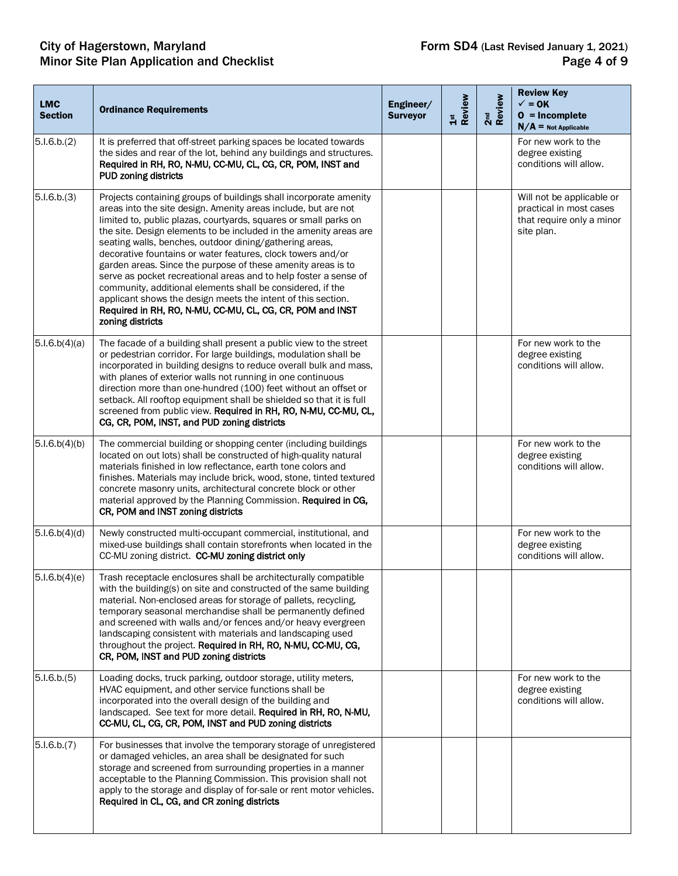#### City of Hagerstown, Maryland **Form SD4** (Last Revised January 1, 2021) Minor Site Plan Application and Checklist **Page 4 of 9** All 2008 and Checklist Page 4 of 9

| <b>LMC</b><br><b>Section</b> | <b>Ordinance Requirements</b>                                                                                                                                                                                                                                                                                                                                                                                                                                                                                                                                                                                                                                                                                                                             | Engineer/<br><b>Surveyor</b> | 1st<br>Review | 2 <sup>nd</sup><br>Review | <b>Review Key</b><br>$\checkmark$ = 0K<br>$0 = Incomplete$<br>$N/A$ = Not Applicable            |
|------------------------------|-----------------------------------------------------------------------------------------------------------------------------------------------------------------------------------------------------------------------------------------------------------------------------------------------------------------------------------------------------------------------------------------------------------------------------------------------------------------------------------------------------------------------------------------------------------------------------------------------------------------------------------------------------------------------------------------------------------------------------------------------------------|------------------------------|---------------|---------------------------|-------------------------------------------------------------------------------------------------|
| 5.1.6.b.(2)                  | It is preferred that off-street parking spaces be located towards<br>the sides and rear of the lot, behind any buildings and structures.<br>Required in RH, RO, N-MU, CC-MU, CL, CG, CR, POM, INST and<br><b>PUD zoning districts</b>                                                                                                                                                                                                                                                                                                                                                                                                                                                                                                                     |                              |               |                           | For new work to the<br>degree existing<br>conditions will allow.                                |
| 5.1.6.b.(3)                  | Projects containing groups of buildings shall incorporate amenity<br>areas into the site design. Amenity areas include, but are not<br>limited to, public plazas, courtyards, squares or small parks on<br>the site. Design elements to be included in the amenity areas are<br>seating walls, benches, outdoor dining/gathering areas,<br>decorative fountains or water features, clock towers and/or<br>garden areas. Since the purpose of these amenity areas is to<br>serve as pocket recreational areas and to help foster a sense of<br>community, additional elements shall be considered, if the<br>applicant shows the design meets the intent of this section.<br>Required in RH, RO, N-MU, CC-MU, CL, CG, CR, POM and INST<br>zoning districts |                              |               |                           | Will not be applicable or<br>practical in most cases<br>that require only a minor<br>site plan. |
| 5.1.6.b(4)(a)                | The facade of a building shall present a public view to the street<br>or pedestrian corridor. For large buildings, modulation shall be<br>incorporated in building designs to reduce overall bulk and mass,<br>with planes of exterior walls not running in one continuous<br>direction more than one-hundred (100) feet without an offset or<br>setback. All rooftop equipment shall be shielded so that it is full<br>screened from public view. Required in RH, RO, N-MU, CC-MU, CL,<br>CG, CR, POM, INST, and PUD zoning districts                                                                                                                                                                                                                    |                              |               |                           | For new work to the<br>degree existing<br>conditions will allow.                                |
| 5.1.6.b(4)(b)                | The commercial building or shopping center (including buildings<br>located on out lots) shall be constructed of high-quality natural<br>materials finished in low reflectance, earth tone colors and<br>finishes. Materials may include brick, wood, stone, tinted textured<br>concrete masonry units, architectural concrete block or other<br>material approved by the Planning Commission. Required in CG,<br>CR, POM and INST zoning districts                                                                                                                                                                                                                                                                                                        |                              |               |                           | For new work to the<br>degree existing<br>conditions will allow.                                |
| 5.1.6.b(4)(d)                | Newly constructed multi-occupant commercial, institutional, and<br>mixed-use buildings shall contain storefronts when located in the<br>CC-MU zoning district. CC-MU zoning district only                                                                                                                                                                                                                                                                                                                                                                                                                                                                                                                                                                 |                              |               |                           | For new work to the<br>degree existing<br>conditions will allow.                                |
| 5.1.6.b(4)(e)                | Trash receptacle enclosures shall be architecturally compatible<br>with the building(s) on site and constructed of the same building<br>material. Non-enclosed areas for storage of pallets, recycling,<br>temporary seasonal merchandise shall be permanently defined<br>and screened with walls and/or fences and/or heavy evergreen<br>landscaping consistent with materials and landscaping used<br>throughout the project. Required in RH, RO, N-MU, CC-MU, CG,<br>CR, POM, INST and PUD zoning districts                                                                                                                                                                                                                                            |                              |               |                           |                                                                                                 |
| 5.1.6.b.(5)                  | Loading docks, truck parking, outdoor storage, utility meters,<br>HVAC equipment, and other service functions shall be<br>incorporated into the overall design of the building and<br>landscaped. See text for more detail. Required in RH, RO, N-MU,<br>CC-MU, CL, CG, CR, POM, INST and PUD zoning districts                                                                                                                                                                                                                                                                                                                                                                                                                                            |                              |               |                           | For new work to the<br>degree existing<br>conditions will allow.                                |
| 5.1.6.b.(7)                  | For businesses that involve the temporary storage of unregistered<br>or damaged vehicles, an area shall be designated for such<br>storage and screened from surrounding properties in a manner<br>acceptable to the Planning Commission. This provision shall not<br>apply to the storage and display of for-sale or rent motor vehicles.<br>Required in CL, CG, and CR zoning districts                                                                                                                                                                                                                                                                                                                                                                  |                              |               |                           |                                                                                                 |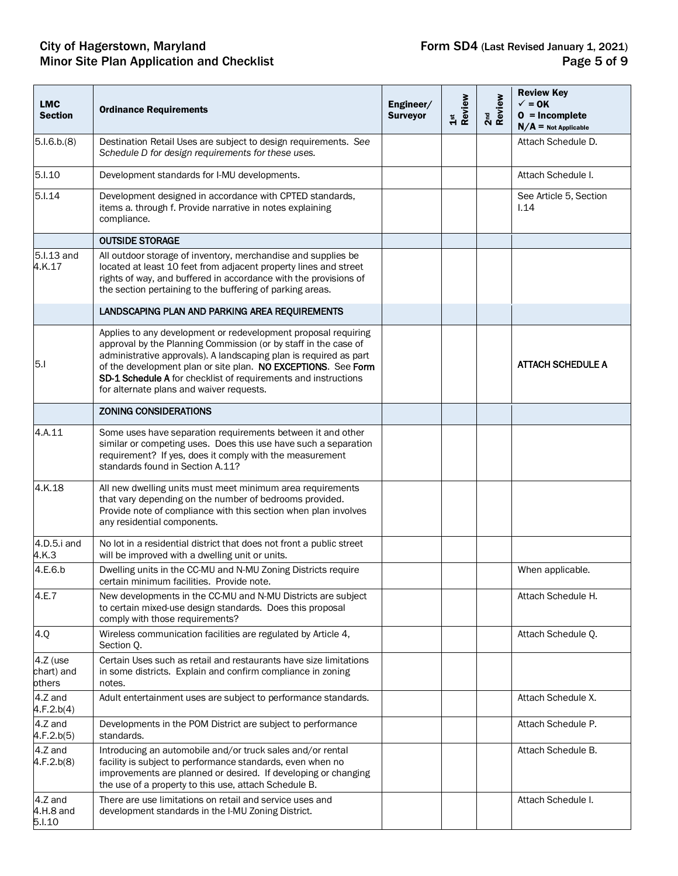#### City of Hagerstown, Maryland **Form SD4** (Last Revised January 1, 2021) Minor Site Plan Application and Checklist **Page 5 of 9** and  $P$  and  $P$  and  $P$  and  $P$  and  $P$  and  $P$  and  $P$  and  $P$  and  $P$  and  $P$  and  $P$  and  $P$  and  $P$  and  $P$  and  $P$  and  $P$  and  $P$  and  $P$  and  $P$  and  $P$  and  $P$

| <b>LMC</b><br><b>Section</b>     | <b>Ordinance Requirements</b>                                                                                                                                                                                                                                                                                                                                                         | Engineer/<br><b>Surveyor</b> | Review<br>$\frac{5}{15}$ | 2 <sup>nd</sup><br>Review | <b>Review Key</b><br>$\checkmark$ = 0K<br>$0 = Incomplete$<br>$N/A$ = Not Applicable |
|----------------------------------|---------------------------------------------------------------------------------------------------------------------------------------------------------------------------------------------------------------------------------------------------------------------------------------------------------------------------------------------------------------------------------------|------------------------------|--------------------------|---------------------------|--------------------------------------------------------------------------------------|
| 5.1.6.b.(8)                      | Destination Retail Uses are subject to design requirements. See<br>Schedule D for design requirements for these uses.                                                                                                                                                                                                                                                                 |                              |                          |                           | Attach Schedule D.                                                                   |
| 5.1.10                           | Development standards for I-MU developments.                                                                                                                                                                                                                                                                                                                                          |                              |                          |                           | Attach Schedule I.                                                                   |
| 5.I.14                           | Development designed in accordance with CPTED standards,<br>items a. through f. Provide narrative in notes explaining<br>compliance.                                                                                                                                                                                                                                                  |                              |                          |                           | See Article 5, Section<br>1.14                                                       |
|                                  | <b>OUTSIDE STORAGE</b>                                                                                                                                                                                                                                                                                                                                                                |                              |                          |                           |                                                                                      |
| 5.I.13 and<br>4.K.17             | All outdoor storage of inventory, merchandise and supplies be<br>located at least 10 feet from adjacent property lines and street<br>rights of way, and buffered in accordance with the provisions of<br>the section pertaining to the buffering of parking areas.                                                                                                                    |                              |                          |                           |                                                                                      |
|                                  | LANDSCAPING PLAN AND PARKING AREA REQUIREMENTS                                                                                                                                                                                                                                                                                                                                        |                              |                          |                           |                                                                                      |
| 5.1                              | Applies to any development or redevelopment proposal requiring<br>approval by the Planning Commission (or by staff in the case of<br>administrative approvals). A landscaping plan is required as part<br>of the development plan or site plan. NO EXCEPTIONS. See Form<br>SD-1 Schedule A for checklist of requirements and instructions<br>for alternate plans and waiver requests. |                              |                          |                           | <b>ATTACH SCHEDULE A</b>                                                             |
|                                  | <b>ZONING CONSIDERATIONS</b>                                                                                                                                                                                                                                                                                                                                                          |                              |                          |                           |                                                                                      |
| 4.A.11                           | Some uses have separation requirements between it and other<br>similar or competing uses. Does this use have such a separation<br>requirement? If yes, does it comply with the measurement<br>standards found in Section A.11?                                                                                                                                                        |                              |                          |                           |                                                                                      |
| 4.K.18                           | All new dwelling units must meet minimum area requirements<br>that vary depending on the number of bedrooms provided.<br>Provide note of compliance with this section when plan involves<br>any residential components.                                                                                                                                                               |                              |                          |                           |                                                                                      |
| 4.D.5.i and<br>4.K.3             | No lot in a residential district that does not front a public street<br>will be improved with a dwelling unit or units.                                                                                                                                                                                                                                                               |                              |                          |                           |                                                                                      |
| 4.E.6.b                          | Dwelling units in the CC-MU and N-MU Zoning Districts require<br>certain minimum facilities. Provide note.                                                                                                                                                                                                                                                                            |                              |                          |                           | When applicable.                                                                     |
| 4.E.7                            | New developments in the CC-MU and N-MU Districts are subject<br>to certain mixed-use design standards. Does this proposal<br>comply with those requirements?                                                                                                                                                                                                                          |                              |                          |                           | Attach Schedule H.                                                                   |
| 4.Q                              | Wireless communication facilities are regulated by Article 4,<br>Section O.                                                                                                                                                                                                                                                                                                           |                              |                          |                           | Attach Schedule Q.                                                                   |
| 4.Z (use<br>chart) and<br>others | Certain Uses such as retail and restaurants have size limitations<br>in some districts. Explain and confirm compliance in zoning<br>notes.                                                                                                                                                                                                                                            |                              |                          |                           |                                                                                      |
| 4.Z and<br>4.F.2.b(4)            | Adult entertainment uses are subject to performance standards.                                                                                                                                                                                                                                                                                                                        |                              |                          |                           | Attach Schedule X.                                                                   |
| 4.Z and<br>4.F.2.b(5)            | Developments in the POM District are subject to performance<br>standards.                                                                                                                                                                                                                                                                                                             |                              |                          |                           | Attach Schedule P.                                                                   |
| 4.Z and<br>4.F.2.b(8)            | Introducing an automobile and/or truck sales and/or rental<br>facility is subject to performance standards, even when no<br>improvements are planned or desired. If developing or changing<br>the use of a property to this use, attach Schedule B.                                                                                                                                   |                              |                          |                           | Attach Schedule B.                                                                   |
| 4.Z and<br>4.H.8 and<br>5.I.10   | There are use limitations on retail and service uses and<br>development standards in the I-MU Zoning District.                                                                                                                                                                                                                                                                        |                              |                          |                           | Attach Schedule I.                                                                   |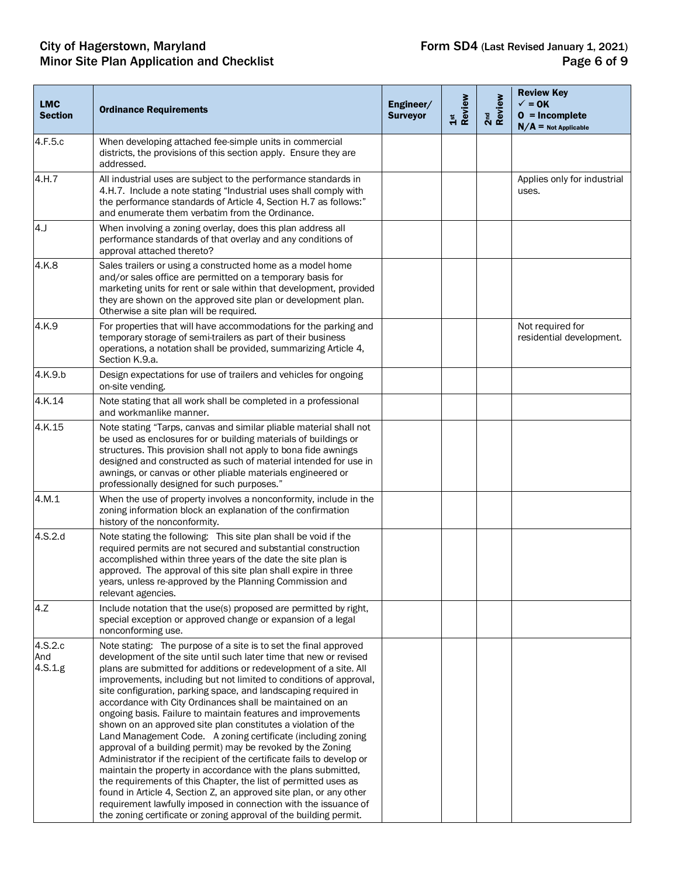#### City of Hagerstown, Maryland **Form SD4** (Last Revised January 1, 2021) Minor Site Plan Application and Checklist **Page 6 of 9** and  $P$  and  $P$  and  $P$  and  $P$  and  $P$  and  $P$  and  $P$  and  $P$  and  $P$  and  $P$  and  $P$  and  $P$  and  $P$  and  $P$  and  $P$  and  $P$  and  $P$  and  $P$  and  $P$  and  $P$  and  $P$

| <b>LMC</b><br><b>Section</b> | <b>Ordinance Requirements</b>                                                                                                                                                                                                                                                                                                                                                                                                                                                                                                                                                                                                                                                                                                                                                                                                                                                                                                                                                                                                                                                                              | Engineer/<br><b>Surveyor</b> | Review<br>$\frac{5}{15}$ | 2 <sup>nd</sup><br>Review | <b>Review Key</b><br>$\checkmark$ = 0K<br>$0 = Incomplete$<br>$N/A$ = Not Applicable |
|------------------------------|------------------------------------------------------------------------------------------------------------------------------------------------------------------------------------------------------------------------------------------------------------------------------------------------------------------------------------------------------------------------------------------------------------------------------------------------------------------------------------------------------------------------------------------------------------------------------------------------------------------------------------------------------------------------------------------------------------------------------------------------------------------------------------------------------------------------------------------------------------------------------------------------------------------------------------------------------------------------------------------------------------------------------------------------------------------------------------------------------------|------------------------------|--------------------------|---------------------------|--------------------------------------------------------------------------------------|
| 4.F.5.c                      | When developing attached fee-simple units in commercial<br>districts, the provisions of this section apply. Ensure they are<br>addressed.                                                                                                                                                                                                                                                                                                                                                                                                                                                                                                                                                                                                                                                                                                                                                                                                                                                                                                                                                                  |                              |                          |                           |                                                                                      |
| 4.H.7                        | All industrial uses are subject to the performance standards in<br>4.H.7. Include a note stating "Industrial uses shall comply with<br>the performance standards of Article 4, Section H.7 as follows:"<br>and enumerate them verbatim from the Ordinance.                                                                                                                                                                                                                                                                                                                                                                                                                                                                                                                                                                                                                                                                                                                                                                                                                                                 |                              |                          |                           | Applies only for industrial<br>uses.                                                 |
| 4.                           | When involving a zoning overlay, does this plan address all<br>performance standards of that overlay and any conditions of<br>approval attached thereto?                                                                                                                                                                                                                                                                                                                                                                                                                                                                                                                                                                                                                                                                                                                                                                                                                                                                                                                                                   |                              |                          |                           |                                                                                      |
| 4.K.8                        | Sales trailers or using a constructed home as a model home<br>and/or sales office are permitted on a temporary basis for<br>marketing units for rent or sale within that development, provided<br>they are shown on the approved site plan or development plan.<br>Otherwise a site plan will be required.                                                                                                                                                                                                                                                                                                                                                                                                                                                                                                                                                                                                                                                                                                                                                                                                 |                              |                          |                           |                                                                                      |
| 4.K.9                        | For properties that will have accommodations for the parking and<br>temporary storage of semi-trailers as part of their business<br>operations, a notation shall be provided, summarizing Article 4,<br>Section K.9.a.                                                                                                                                                                                                                                                                                                                                                                                                                                                                                                                                                                                                                                                                                                                                                                                                                                                                                     |                              |                          |                           | Not required for<br>residential development.                                         |
| 4.K.9.b                      | Design expectations for use of trailers and vehicles for ongoing<br>on-site vending.                                                                                                                                                                                                                                                                                                                                                                                                                                                                                                                                                                                                                                                                                                                                                                                                                                                                                                                                                                                                                       |                              |                          |                           |                                                                                      |
| 4.K.14                       | Note stating that all work shall be completed in a professional<br>and workmanlike manner.                                                                                                                                                                                                                                                                                                                                                                                                                                                                                                                                                                                                                                                                                                                                                                                                                                                                                                                                                                                                                 |                              |                          |                           |                                                                                      |
| 4.K.15                       | Note stating "Tarps, canvas and similar pliable material shall not<br>be used as enclosures for or building materials of buildings or<br>structures. This provision shall not apply to bona fide awnings<br>designed and constructed as such of material intended for use in<br>awnings, or canvas or other pliable materials engineered or<br>professionally designed for such purposes."                                                                                                                                                                                                                                                                                                                                                                                                                                                                                                                                                                                                                                                                                                                 |                              |                          |                           |                                                                                      |
| 4.M.1                        | When the use of property involves a nonconformity, include in the<br>zoning information block an explanation of the confirmation<br>history of the nonconformity.                                                                                                                                                                                                                                                                                                                                                                                                                                                                                                                                                                                                                                                                                                                                                                                                                                                                                                                                          |                              |                          |                           |                                                                                      |
| 4.S.2.d                      | Note stating the following: This site plan shall be void if the<br>required permits are not secured and substantial construction<br>accomplished within three years of the date the site plan is<br>approved. The approval of this site plan shall expire in three<br>years, unless re-approved by the Planning Commission and<br>relevant agencies.                                                                                                                                                                                                                                                                                                                                                                                                                                                                                                                                                                                                                                                                                                                                                       |                              |                          |                           |                                                                                      |
| 4.7                          | Include notation that the use(s) proposed are permitted by right,<br>special exception or approved change or expansion of a legal<br>nonconforming use.                                                                                                                                                                                                                                                                                                                                                                                                                                                                                                                                                                                                                                                                                                                                                                                                                                                                                                                                                    |                              |                          |                           |                                                                                      |
| 4.S.2.c<br>And<br>4.S.1.g    | Note stating: The purpose of a site is to set the final approved<br>development of the site until such later time that new or revised<br>plans are submitted for additions or redevelopment of a site. All<br>improvements, including but not limited to conditions of approval,<br>site configuration, parking space, and landscaping required in<br>accordance with City Ordinances shall be maintained on an<br>ongoing basis. Failure to maintain features and improvements<br>shown on an approved site plan constitutes a violation of the<br>Land Management Code. A zoning certificate (including zoning<br>approval of a building permit) may be revoked by the Zoning<br>Administrator if the recipient of the certificate fails to develop or<br>maintain the property in accordance with the plans submitted,<br>the requirements of this Chapter, the list of permitted uses as<br>found in Article 4, Section Z, an approved site plan, or any other<br>requirement lawfully imposed in connection with the issuance of<br>the zoning certificate or zoning approval of the building permit. |                              |                          |                           |                                                                                      |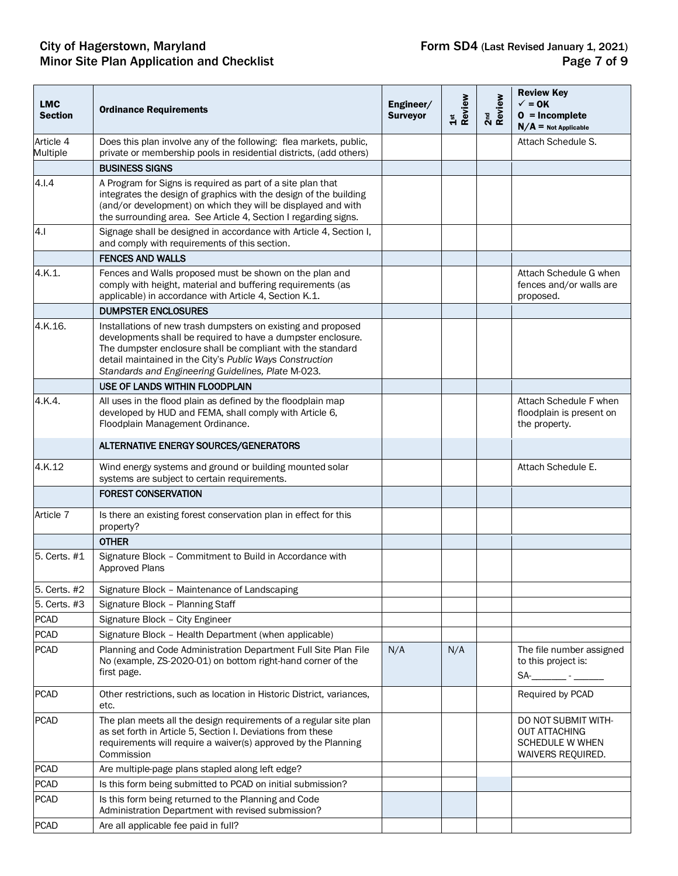#### City of Hagerstown, Maryland **Form SD4** (Last Revised January 1, 2021) Minor Site Plan Application and Checklist **Page 7** of 9

| <b>LMC</b><br><b>Section</b> | <b>Ordinance Requirements</b>                                                                                                                                                                                                                                                                                  | Engineer/<br><b>Surveyor</b> | Review<br>$\frac{5}{4}$ | 2 <sup>nd</sup><br>Review | <b>Review Key</b><br>$\checkmark$ = 0K<br>$0 = Incomplete$<br>$N/A$ = Not Applicable       |
|------------------------------|----------------------------------------------------------------------------------------------------------------------------------------------------------------------------------------------------------------------------------------------------------------------------------------------------------------|------------------------------|-------------------------|---------------------------|--------------------------------------------------------------------------------------------|
| Article 4<br>Multiple        | Does this plan involve any of the following: flea markets, public,<br>private or membership pools in residential districts, (add others)                                                                                                                                                                       |                              |                         |                           | Attach Schedule S.                                                                         |
|                              | <b>BUSINESS SIGNS</b>                                                                                                                                                                                                                                                                                          |                              |                         |                           |                                                                                            |
| 4.1.4                        | A Program for Signs is required as part of a site plan that<br>integrates the design of graphics with the design of the building<br>(and/or development) on which they will be displayed and with<br>the surrounding area. See Article 4, Section I regarding signs.                                           |                              |                         |                           |                                                                                            |
| 4.1                          | Signage shall be designed in accordance with Article 4, Section I,<br>and comply with requirements of this section.                                                                                                                                                                                            |                              |                         |                           |                                                                                            |
|                              | <b>FENCES AND WALLS</b>                                                                                                                                                                                                                                                                                        |                              |                         |                           |                                                                                            |
| 4.K.1.                       | Fences and Walls proposed must be shown on the plan and<br>comply with height, material and buffering requirements (as<br>applicable) in accordance with Article 4, Section K.1.                                                                                                                               |                              |                         |                           | Attach Schedule G when<br>fences and/or walls are<br>proposed.                             |
|                              | <b>DUMPSTER ENCLOSURES</b>                                                                                                                                                                                                                                                                                     |                              |                         |                           |                                                                                            |
| 4.K.16.                      | Installations of new trash dumpsters on existing and proposed<br>developments shall be required to have a dumpster enclosure.<br>The dumpster enclosure shall be compliant with the standard<br>detail maintained in the City's Public Ways Construction<br>Standards and Engineering Guidelines, Plate M-023. |                              |                         |                           |                                                                                            |
|                              | USE OF LANDS WITHIN FLOODPLAIN                                                                                                                                                                                                                                                                                 |                              |                         |                           |                                                                                            |
| 4.K.4.                       | All uses in the flood plain as defined by the floodplain map<br>developed by HUD and FEMA, shall comply with Article 6,<br>Floodplain Management Ordinance.                                                                                                                                                    |                              |                         |                           | Attach Schedule F when<br>floodplain is present on<br>the property.                        |
|                              | ALTERNATIVE ENERGY SOURCES/GENERATORS                                                                                                                                                                                                                                                                          |                              |                         |                           |                                                                                            |
| 4.K.12                       | Wind energy systems and ground or building mounted solar<br>systems are subject to certain requirements.                                                                                                                                                                                                       |                              |                         |                           | Attach Schedule E.                                                                         |
|                              | <b>FOREST CONSERVATION</b>                                                                                                                                                                                                                                                                                     |                              |                         |                           |                                                                                            |
| Article 7                    | Is there an existing forest conservation plan in effect for this<br>property?                                                                                                                                                                                                                                  |                              |                         |                           |                                                                                            |
|                              | <b>OTHER</b>                                                                                                                                                                                                                                                                                                   |                              |                         |                           |                                                                                            |
| 5. Certs. #1                 | Signature Block - Commitment to Build in Accordance with<br>Approved Plans                                                                                                                                                                                                                                     |                              |                         |                           |                                                                                            |
| 5. Certs. #2                 | Signature Block - Maintenance of Landscaping                                                                                                                                                                                                                                                                   |                              |                         |                           |                                                                                            |
| 5. Certs. #3                 | Signature Block - Planning Staff                                                                                                                                                                                                                                                                               |                              |                         |                           |                                                                                            |
| <b>PCAD</b>                  | Signature Block - City Engineer                                                                                                                                                                                                                                                                                |                              |                         |                           |                                                                                            |
| <b>PCAD</b>                  | Signature Block - Health Department (when applicable)                                                                                                                                                                                                                                                          |                              |                         |                           |                                                                                            |
| <b>PCAD</b>                  | Planning and Code Administration Department Full Site Plan File<br>No (example, ZS-2020-01) on bottom right-hand corner of the<br>first page.                                                                                                                                                                  | N/A                          | N/A                     |                           | The file number assigned<br>to this project is:<br>$SA$ - $-$                              |
| <b>PCAD</b>                  | Other restrictions, such as location in Historic District, variances,<br>etc.                                                                                                                                                                                                                                  |                              |                         |                           | Required by PCAD                                                                           |
| <b>PCAD</b>                  | The plan meets all the design requirements of a regular site plan<br>as set forth in Article 5, Section I. Deviations from these<br>requirements will require a waiver(s) approved by the Planning<br>Commission                                                                                               |                              |                         |                           | DO NOT SUBMIT WITH-<br><b>OUT ATTACHING</b><br><b>SCHEDULE W WHEN</b><br>WAIVERS REQUIRED. |
| <b>PCAD</b>                  | Are multiple-page plans stapled along left edge?                                                                                                                                                                                                                                                               |                              |                         |                           |                                                                                            |
| <b>PCAD</b>                  | Is this form being submitted to PCAD on initial submission?                                                                                                                                                                                                                                                    |                              |                         |                           |                                                                                            |
| <b>PCAD</b>                  | Is this form being returned to the Planning and Code<br>Administration Department with revised submission?                                                                                                                                                                                                     |                              |                         |                           |                                                                                            |
| <b>PCAD</b>                  | Are all applicable fee paid in full?                                                                                                                                                                                                                                                                           |                              |                         |                           |                                                                                            |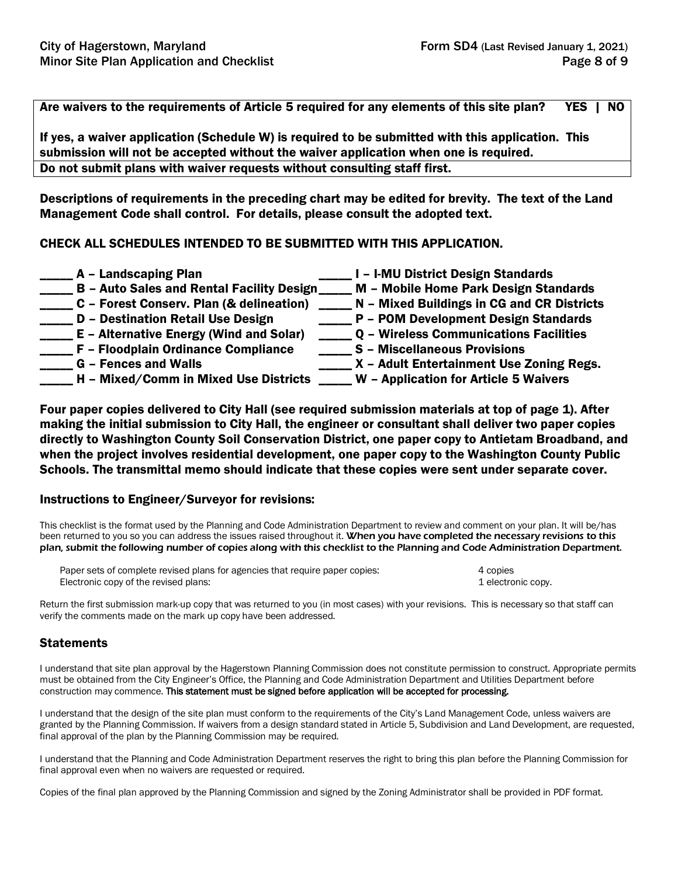Are waivers to the requirements of Article 5 required for any elements of this site plan? YES | NO

If yes, a waiver application (Schedule W) is required to be submitted with this application. This submission will not be accepted without the waiver application when one is required. Do not submit plans with waiver requests without consulting staff first.

Descriptions of requirements in the preceding chart may be edited for brevity. The text of the Land Management Code shall control. For details, please consult the adopted text.

### CHECK ALL SCHEDULES INTENDED TO BE SUBMITTED WITH THIS APPLICATION.

\_\_\_\_ A - Landscaping Plan decrees and all  $\Box$  I – I-MU District Design Standards B – Auto Sales and Rental Facility Design M – Mobile Home Park Design Standards C - Forest Conserv. Plan (& delineation) \_\_\_\_\_ N - Mixed Buildings in CG and CR Districts \_\_\_\_\_ D – Destination Retail Use Design \_\_\_\_\_ P – POM Development Design Standards \_ E – Alternative Energy (Wind and Solar) \_\_\_\_\_ Q – Wireless Communications Facilities<br>\_ F – Floodplain Ordinance Compliance \_\_\_\_\_ S – Miscellaneous Provisions \_\_\_\_ F – Floodplain Ordinance Compliance G – Fences and Walls **Entertainment Use Zoning Regs.** X – Adult Entertainment Use Zoning Regs. \_\_\_\_\_ H – Mixed/Comm in Mixed Use Districts \_\_\_\_\_ W – Application for Article 5 Waivers

Four paper copies delivered to City Hall (see required submission materials at top of page 1). After making the initial submission to City Hall, the engineer or consultant shall deliver two paper copies directly to Washington County Soil Conservation District, one paper copy to Antietam Broadband, and when the project involves residential development, one paper copy to the Washington County Public Schools. The transmittal memo should indicate that these copies were sent under separate cover.

#### Instructions to Engineer/Surveyor for revisions:

This checklist is the format used by the Planning and Code Administration Department to review and comment on your plan. It will be/has been returned to you so you can address the issues raised throughout it. When you have completed the necessary revisions to this plan, submit the following number of copies along with this checklist to the Planning and Code Administration Department.

| Paper sets of complete revised plans for agencies that require paper copies: | 4 copies           |
|------------------------------------------------------------------------------|--------------------|
| Electronic copy of the revised plans:                                        | 1 electronic copy. |

Return the first submission mark-up copy that was returned to you (in most cases) with your revisions. This is necessary so that staff can verify the comments made on the mark up copy have been addressed.

#### **Statements**

I understand that site plan approval by the Hagerstown Planning Commission does not constitute permission to construct. Appropriate permits must be obtained from the City Engineer's Office, the Planning and Code Administration Department and Utilities Department before construction may commence. This statement must be signed before application will be accepted for processing.

I understand that the design of the site plan must conform to the requirements of the City's Land Management Code, unless waivers are granted by the Planning Commission. If waivers from a design standard stated in Article 5, Subdivision and Land Development, are requested, final approval of the plan by the Planning Commission may be required.

I understand that the Planning and Code Administration Department reserves the right to bring this plan before the Planning Commission for final approval even when no waivers are requested or required.

Copies of the final plan approved by the Planning Commission and signed by the Zoning Administrator shall be provided in PDF format.